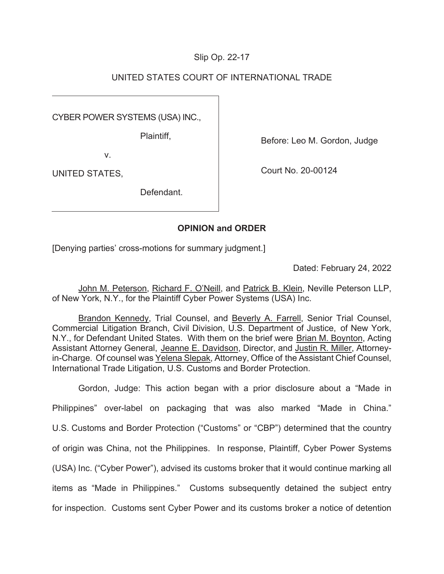# Slip Op. 22-17

# UNITED STATES COURT OF INTERNATIONAL TRADE

CYBER POWER SYSTEMS (USA) INC.,

Plaintiff,

v.

UNITED STATES,

Before: Leo M. Gordon, Judge

Court No. 20-00124

**Defendant** 

# **OPINION and ORDER**

[Denying parties' cross-motions for summary judgment.]

Dated: February 24, 2022

John M. Peterson, Richard F. O'Neill, and Patrick B. Klein, Neville Peterson LLP, of New York, N.Y., for the Plaintiff Cyber Power Systems (USA) Inc.

Brandon Kennedy, Trial Counsel, and Beverly A. Farrell, Senior Trial Counsel, Commercial Litigation Branch, Civil Division, U.S. Department of Justice, of New York, N.Y., for Defendant United States. With them on the brief were Brian M. Boynton, Acting Assistant Attorney General, Jeanne E. Davidson, Director, and Justin R. Miller, Attorneyin-Charge. Of counsel was Yelena Slepak, Attorney, Office of the Assistant Chief Counsel, International Trade Litigation, U.S. Customs and Border Protection.

Gordon, Judge: This action began with a prior disclosure about a "Made in Philippines" over-label on packaging that was also marked "Made in China." U.S. Customs and Border Protection ("Customs" or "CBP") determined that the country of origin was China, not the Philippines. In response, Plaintiff, Cyber Power Systems (USA) Inc. ("Cyber Power"), advised its customs broker that it would continue marking all items as "Made in Philippines." Customs subsequently detained the subject entry for inspection. Customs sent Cyber Power and its customs broker a notice of detention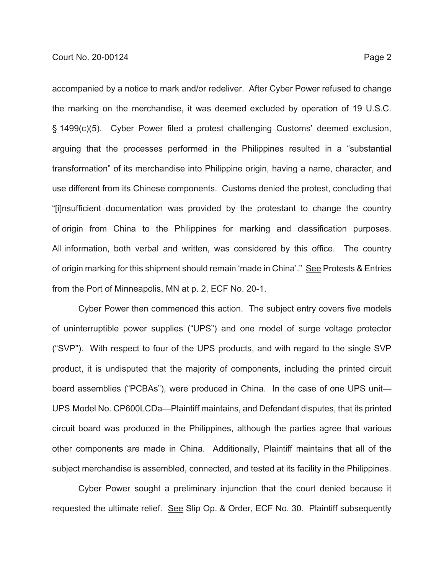accompanied by a notice to mark and/or redeliver. After Cyber Power refused to change the marking on the merchandise, it was deemed excluded by operation of 19 U.S.C. § 1499(c)(5). Cyber Power filed a protest challenging Customs' deemed exclusion, arguing that the processes performed in the Philippines resulted in a "substantial transformation" of its merchandise into Philippine origin, having a name, character, and use different from its Chinese components. Customs denied the protest, concluding that "[i]nsufficient documentation was provided by the protestant to change the country of origin from China to the Philippines for marking and classification purposes. All information, both verbal and written, was considered by this office. The country

of origin marking for this shipment should remain 'made in China'." See Protests & Entries from the Port of Minneapolis, MN at p. 2, ECF No. 20-1.

Cyber Power then commenced this action. The subject entry covers five models of uninterruptible power supplies ("UPS") and one model of surge voltage protector ("SVP"). With respect to four of the UPS products, and with regard to the single SVP product, it is undisputed that the majority of components, including the printed circuit board assemblies ("PCBAs"), were produced in China. In the case of one UPS unit— UPS Model No. CP600LCDa—Plaintiff maintains, and Defendant disputes, that its printed circuit board was produced in the Philippines, although the parties agree that various other components are made in China. Additionally, Plaintiff maintains that all of the subject merchandise is assembled, connected, and tested at its facility in the Philippines.

Cyber Power sought a preliminary injunction that the court denied because it requested the ultimate relief. See Slip Op. & Order, ECF No. 30. Plaintiff subsequently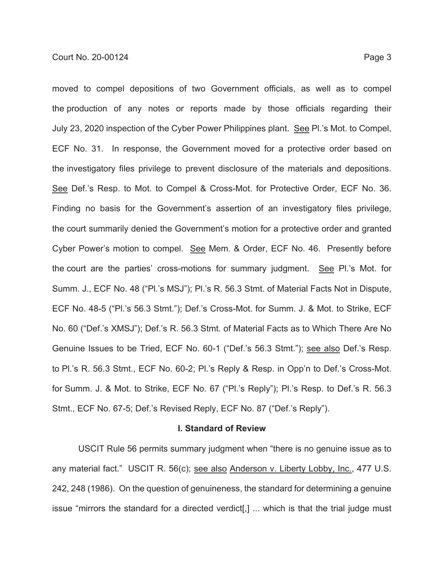moved to compel depositions of two Government officials, as well as to compel the production of any notes or reports made by those officials regarding their July 23, 2020 inspection of the Cyber Power Philippines plant. See Pl.'s Mot. to Compel, ECF No. 31. In response, the Government moved for a protective order based on the investigatory files privilege to prevent disclosure of the materials and depositions. See Def.'s Resp. to Mot. to Compel & Cross-Mot. for Protective Order, ECF No. 36. Finding no basis for the Government's assertion of an investigatory files privilege, the court summarily denied the Government's motion for a protective order and granted Cyber Power's motion to compel. See Mem. & Order, ECF No. 46. Presently before the court are the parties' cross-motions for summary judgment. See Pl.'s Mot. for Summ. J., ECF No. 48 ("Pl.'s MSJ"); Pl.'s R. 56.3 Stmt. of Material Facts Not in Dispute, ECF No. 48-5 ("Pl.'s 56.3 Stmt."); Def.'s Cross-Mot. for Summ. J. & Mot. to Strike, ECF No. 60 ("Def.'s XMSJ"); Def.'s R. 56.3 Stmt. of Material Facts as to Which There Are No Genuine Issues to be Tried, ECF No. 60-1 ("Def.'s 56.3 Stmt."); see also Def.'s Resp. to Pl.'s R. 56.3 Stmt., ECF No. 60-2; Pl.'s Reply & Resp. in Opp'n to Def.'s Cross-Mot. for Summ. J. & Mot. to Strike, ECF No. 67 ("Pl.'s Reply"); Pl.'s Resp. to Def.'s R. 56.3 Stmt., ECF No. 67-5; Def.'s Revised Reply, ECF No. 87 ("Def.'s Reply").

### **I. Standard of Review**

USCIT Rule 56 permits summary judgment when "there is no genuine issue as to any material fact." USCIT R. 56(c); see also Anderson v. Liberty Lobby, Inc., 477 U.S. 242, 248 (1986). On the question of genuineness, the standard for determining a genuine issue "mirrors the standard for a directed verdict[,] ... which is that the trial judge must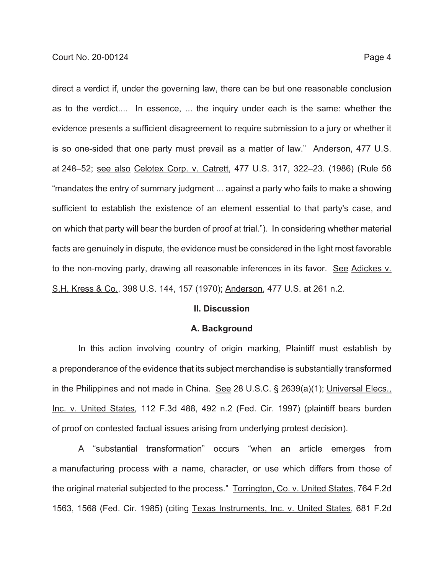direct a verdict if, under the governing law, there can be but one reasonable conclusion as to the verdict.... In essence, ... the inquiry under each is the same: whether the evidence presents a sufficient disagreement to require submission to a jury or whether it is so one-sided that one party must prevail as a matter of law." Anderson, 477 U.S. at 248–52; see also Celotex Corp. v. Catrett, 477 U.S. 317, 322–23. (1986) (Rule 56 "mandates the entry of summary judgment ... against a party who fails to make a showing sufficient to establish the existence of an element essential to that party's case, and on which that party will bear the burden of proof at trial."). In considering whether material facts are genuinely in dispute, the evidence must be considered in the light most favorable to the non-moving party, drawing all reasonable inferences in its favor. See Adickes v. S.H. Kress & Co., 398 U.S. 144, 157 (1970); Anderson, 477 U.S. at 261 n.2.

#### **II. Discussion**

#### **A. Background**

In this action involving country of origin marking, Plaintiff must establish by a preponderance of the evidence that its subject merchandise is substantially transformed in the Philippines and not made in China. See 28 U.S.C. § 2639(a)(1); Universal Elecs., Inc. v. United States*,* 112 F.3d 488, 492 n.2 (Fed. Cir. 1997) (plaintiff bears burden of proof on contested factual issues arising from underlying protest decision).

A "substantial transformation" occurs "when an article emerges from a manufacturing process with a name, character, or use which differs from those of the original material subjected to the process." Torrington, Co. v. United States, 764 F.2d 1563, 1568 (Fed. Cir. 1985) (citing Texas Instruments, Inc. v. United States, 681 F.2d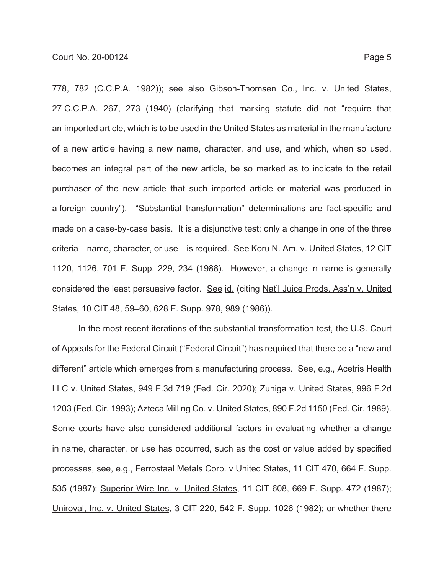778, 782 (C.C.P.A. 1982)); see also Gibson-Thomsen Co., Inc. v. United States, 27 C.C.P.A. 267, 273 (1940) (clarifying that marking statute did not "require that an imported article, which is to be used in the United States as material in the manufacture of a new article having a new name, character, and use, and which, when so used, becomes an integral part of the new article, be so marked as to indicate to the retail purchaser of the new article that such imported article or material was produced in a foreign country"). "Substantial transformation" determinations are fact-specific and made on a case-by-case basis. It is a disjunctive test; only a change in one of the three criteria—name, character, or use—is required. See Koru N. Am. v. United States, 12 CIT 1120, 1126, 701 F. Supp. 229, 234 (1988). However, a change in name is generally considered the least persuasive factor. See id. (citing Nat'l Juice Prods. Ass'n v. United States, 10 CIT 48, 59–60, 628 F. Supp. 978, 989 (1986)).

In the most recent iterations of the substantial transformation test, the U.S. Court of Appeals for the Federal Circuit ("Federal Circuit") has required that there be a "new and different" article which emerges from a manufacturing process. See, e.g., Acetris Health LLC v. United States, 949 F.3d 719 (Fed. Cir. 2020); Zuniga v. United States, 996 F.2d 1203 (Fed. Cir. 1993); Azteca Milling Co. v. United States, 890 F.2d 1150 (Fed. Cir. 1989). Some courts have also considered additional factors in evaluating whether a change in name, character, or use has occurred, such as the cost or value added by specified processes, see, e.g., Ferrostaal Metals Corp. v United States, 11 CIT 470, 664 F. Supp. 535 (1987); Superior Wire Inc. v. United States, 11 CIT 608, 669 F. Supp. 472 (1987); Uniroyal, Inc. v. United States, 3 CIT 220, 542 F. Supp. 1026 (1982); or whether there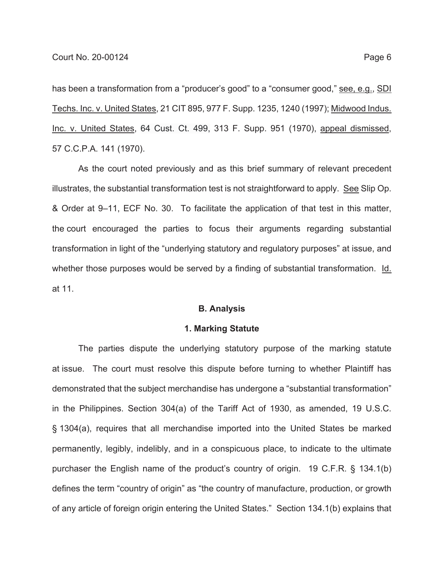has been a transformation from a "producer's good" to a "consumer good," see, e.g., SDI Techs. Inc. v. United States, 21 CIT 895, 977 F. Supp. 1235, 1240 (1997); Midwood Indus. Inc. v. United States, 64 Cust. Ct. 499, 313 F. Supp. 951 (1970), appeal dismissed, 57 C.C.P.A. 141 (1970).

As the court noted previously and as this brief summary of relevant precedent illustrates, the substantial transformation test is not straightforward to apply. See Slip Op. & Order at 9–11, ECF No. 30. To facilitate the application of that test in this matter, the court encouraged the parties to focus their arguments regarding substantial transformation in light of the "underlying statutory and regulatory purposes" at issue, and whether those purposes would be served by a finding of substantial transformation. Id. at 11.

### **B. Analysis**

#### **1. Marking Statute**

The parties dispute the underlying statutory purpose of the marking statute at issue. The court must resolve this dispute before turning to whether Plaintiff has demonstrated that the subject merchandise has undergone a "substantial transformation" in the Philippines. Section 304(a) of the Tariff Act of 1930, as amended, 19 U.S.C. § 1304(a), requires that all merchandise imported into the United States be marked permanently, legibly, indelibly, and in a conspicuous place, to indicate to the ultimate purchaser the English name of the product's country of origin. 19 C.F.R. § 134.1(b) defines the term "country of origin" as "the country of manufacture, production, or growth of any article of foreign origin entering the United States." Section 134.1(b) explains that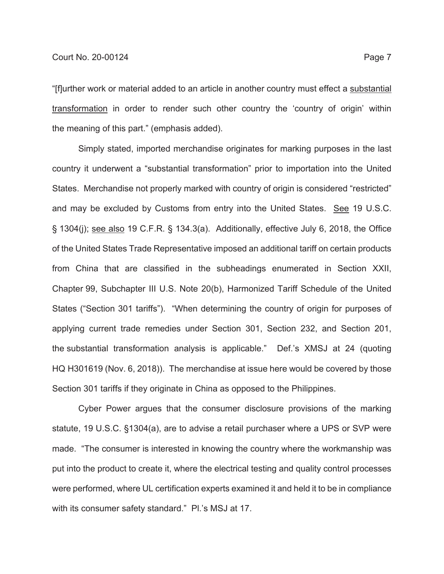"[f]urther work or material added to an article in another country must effect a substantial transformation in order to render such other country the 'country of origin' within the meaning of this part." (emphasis added).

Simply stated, imported merchandise originates for marking purposes in the last country it underwent a "substantial transformation" prior to importation into the United States. Merchandise not properly marked with country of origin is considered "restricted" and may be excluded by Customs from entry into the United States. See 19 U.S.C. § 1304(j); see also 19 C.F.R. § 134.3(a). Additionally, effective July 6, 2018, the Office of the United States Trade Representative imposed an additional tariff on certain products from China that are classified in the subheadings enumerated in Section XXII, Chapter 99, Subchapter III U.S. Note 20(b), Harmonized Tariff Schedule of the United States ("Section 301 tariffs"). "When determining the country of origin for purposes of applying current trade remedies under Section 301, Section 232, and Section 201, the substantial transformation analysis is applicable." Def.'s XMSJ at 24 (quoting HQ H301619 (Nov. 6, 2018)). The merchandise at issue here would be covered by those Section 301 tariffs if they originate in China as opposed to the Philippines.

Cyber Power argues that the consumer disclosure provisions of the marking statute, 19 U.S.C. §1304(a), are to advise a retail purchaser where a UPS or SVP were made. "The consumer is interested in knowing the country where the workmanship was put into the product to create it, where the electrical testing and quality control processes were performed, where UL certification experts examined it and held it to be in compliance with its consumer safety standard." Pl.'s MSJ at 17.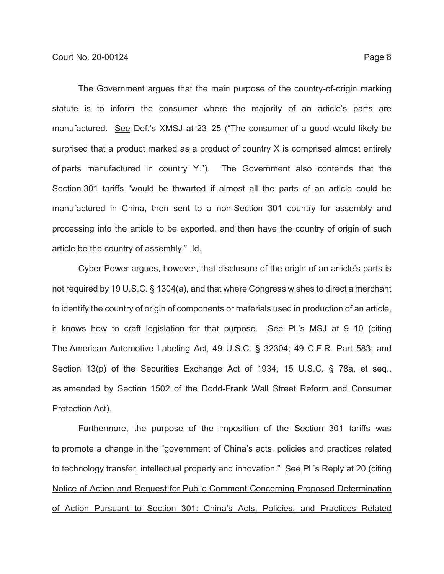The Government argues that the main purpose of the country-of-origin marking statute is to inform the consumer where the majority of an article's parts are manufactured. See Def.'s XMSJ at 23–25 ("The consumer of a good would likely be surprised that a product marked as a product of country X is comprised almost entirely of parts manufactured in country Y."). The Government also contends that the Section 301 tariffs "would be thwarted if almost all the parts of an article could be manufactured in China, then sent to a non-Section 301 country for assembly and processing into the article to be exported, and then have the country of origin of such article be the country of assembly." Id.

Cyber Power argues, however, that disclosure of the origin of an article's parts is not required by 19 U.S.C. § 1304(a), and that where Congress wishes to direct a merchant to identify the country of origin of components or materials used in production of an article, it knows how to craft legislation for that purpose. See Pl.'s MSJ at 9–10 (citing The American Automotive Labeling Act, 49 U.S.C. § 32304; 49 C.F.R. Part 583; and Section 13(p) of the Securities Exchange Act of 1934, 15 U.S.C. § 78a, et seq., as amended by Section 1502 of the Dodd-Frank Wall Street Reform and Consumer Protection Act).

Furthermore, the purpose of the imposition of the Section 301 tariffs was to promote a change in the "government of China's acts, policies and practices related to technology transfer, intellectual property and innovation." See Pl.'s Reply at 20 (citing Notice of Action and Request for Public Comment Concerning Proposed Determination of Action Pursuant to Section 301: China's Acts, Policies, and Practices Related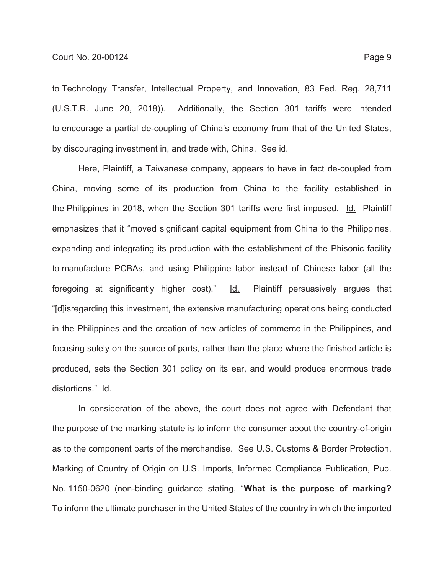to Technology Transfer, Intellectual Property, and Innovation, 83 Fed. Reg. 28,711 (U.S.T.R. June 20, 2018)). Additionally, the Section 301 tariffs were intended to encourage a partial de-coupling of China's economy from that of the United States, by discouraging investment in, and trade with, China. See id.

Here, Plaintiff, a Taiwanese company, appears to have in fact de-coupled from China, moving some of its production from China to the facility established in the Philippines in 2018, when the Section 301 tariffs were first imposed. Id. Plaintiff emphasizes that it "moved significant capital equipment from China to the Philippines, expanding and integrating its production with the establishment of the Phisonic facility to manufacture PCBAs, and using Philippine labor instead of Chinese labor (all the foregoing at significantly higher cost)." Id. Plaintiff persuasively argues that "[d]isregarding this investment, the extensive manufacturing operations being conducted in the Philippines and the creation of new articles of commerce in the Philippines, and focusing solely on the source of parts, rather than the place where the finished article is produced, sets the Section 301 policy on its ear, and would produce enormous trade distortions." Id.

In consideration of the above, the court does not agree with Defendant that the purpose of the marking statute is to inform the consumer about the country-of-origin as to the component parts of the merchandise. See U.S. Customs & Border Protection, Marking of Country of Origin on U.S. Imports, Informed Compliance Publication, Pub. No. 1150-0620 (non-binding guidance stating, "**What is the purpose of marking?** To inform the ultimate purchaser in the United States of the country in which the imported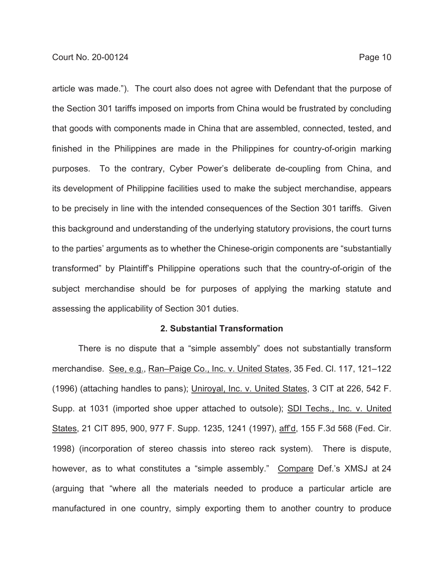article was made."). The court also does not agree with Defendant that the purpose of the Section 301 tariffs imposed on imports from China would be frustrated by concluding that goods with components made in China that are assembled, connected, tested, and finished in the Philippines are made in the Philippines for country-of-origin marking purposes. To the contrary, Cyber Power's deliberate de-coupling from China, and its development of Philippine facilities used to make the subject merchandise, appears to be precisely in line with the intended consequences of the Section 301 tariffs. Given this background and understanding of the underlying statutory provisions, the court turns to the parties' arguments as to whether the Chinese-origin components are "substantially transformed" by Plaintiff's Philippine operations such that the country-of-origin of the subject merchandise should be for purposes of applying the marking statute and assessing the applicability of Section 301 duties.

## **2. Substantial Transformation**

There is no dispute that a "simple assembly" does not substantially transform merchandise. See, e.g., Ran-Paige Co., Inc. v. United States, 35 Fed. Cl. 117, 121-122 (1996) (attaching handles to pans); Uniroyal, Inc. v. United States, 3 CIT at 226, 542 F. Supp. at 1031 (imported shoe upper attached to outsole); SDI Techs., Inc. v. United States, 21 CIT 895, 900, 977 F. Supp. 1235, 1241 (1997), aff'd, 155 F.3d 568 (Fed. Cir. 1998) (incorporation of stereo chassis into stereo rack system). There is dispute, however, as to what constitutes a "simple assembly." Compare Def.'s XMSJ at 24 (arguing that "where all the materials needed to produce a particular article are manufactured in one country, simply exporting them to another country to produce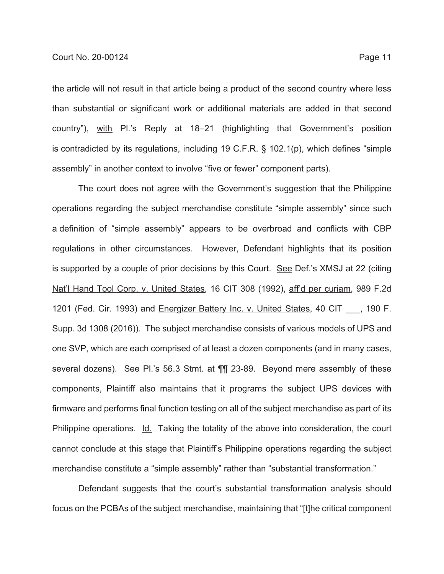the article will not result in that article being a product of the second country where less than substantial or significant work or additional materials are added in that second country"), with Pl.'s Reply at 18–21 (highlighting that Government's position is contradicted by its regulations, including 19 C.F.R. § 102.1(p), which defines "simple assembly" in another context to involve "five or fewer" component parts).

The court does not agree with the Government's suggestion that the Philippine operations regarding the subject merchandise constitute "simple assembly" since such a definition of "simple assembly" appears to be overbroad and conflicts with CBP regulations in other circumstances. However, Defendant highlights that its position is supported by a couple of prior decisions by this Court. See Def.'s XMSJ at 22 (citing Nat'l Hand Tool Corp. v. United States, 16 CIT 308 (1992), aff'd per curiam, 989 F.2d 1201 (Fed. Cir. 1993) and Energizer Battery Inc. v. United States, 40 CIT , 190 F. Supp. 3d 1308 (2016)). The subject merchandise consists of various models of UPS and one SVP, which are each comprised of at least a dozen components (and in many cases, several dozens). See Pl.'s 56.3 Stmt. at ¶¶ 23-89. Beyond mere assembly of these components, Plaintiff also maintains that it programs the subject UPS devices with firmware and performs final function testing on all of the subject merchandise as part of its Philippine operations. Id. Taking the totality of the above into consideration, the court cannot conclude at this stage that Plaintiff's Philippine operations regarding the subject merchandise constitute a "simple assembly" rather than "substantial transformation."

Defendant suggests that the court's substantial transformation analysis should focus on the PCBAs of the subject merchandise, maintaining that "[t]he critical component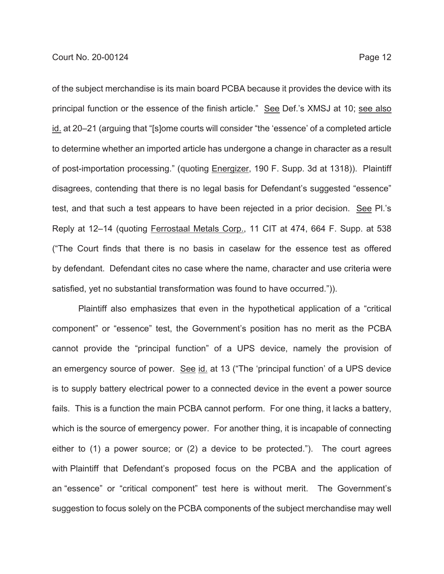of the subject merchandise is its main board PCBA because it provides the device with its principal function or the essence of the finish article." See Def.'s XMSJ at 10; see also id. at 20–21 (arguing that "[s]ome courts will consider "the 'essence' of a completed article to determine whether an imported article has undergone a change in character as a result of post-importation processing." (quoting Energizer, 190 F. Supp. 3d at 1318)). Plaintiff disagrees, contending that there is no legal basis for Defendant's suggested "essence" test, and that such a test appears to have been rejected in a prior decision. See Pl.'s Reply at 12–14 (quoting Ferrostaal Metals Corp., 11 CIT at 474, 664 F. Supp. at 538 ("The Court finds that there is no basis in caselaw for the essence test as offered by defendant. Defendant cites no case where the name, character and use criteria were satisfied, yet no substantial transformation was found to have occurred.")).

Plaintiff also emphasizes that even in the hypothetical application of a "critical component" or "essence" test, the Government's position has no merit as the PCBA cannot provide the "principal function" of a UPS device, namely the provision of an emergency source of power. See id. at 13 ("The 'principal function' of a UPS device is to supply battery electrical power to a connected device in the event a power source fails. This is a function the main PCBA cannot perform. For one thing, it lacks a battery, which is the source of emergency power. For another thing, it is incapable of connecting either to (1) a power source; or (2) a device to be protected."). The court agrees with Plaintiff that Defendant's proposed focus on the PCBA and the application of an "essence" or "critical component" test here is without merit. The Government's suggestion to focus solely on the PCBA components of the subject merchandise may well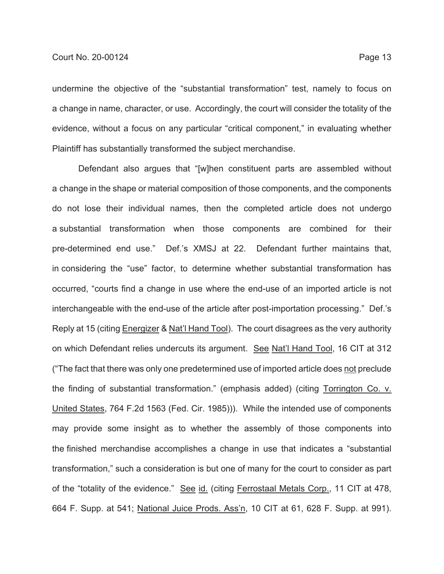undermine the objective of the "substantial transformation" test, namely to focus on a change in name, character, or use. Accordingly, the court will consider the totality of the evidence, without a focus on any particular "critical component," in evaluating whether Plaintiff has substantially transformed the subject merchandise.

Defendant also argues that "[w]hen constituent parts are assembled without a change in the shape or material composition of those components, and the components do not lose their individual names, then the completed article does not undergo a substantial transformation when those components are combined for their pre-determined end use." Def.'s XMSJ at 22. Defendant further maintains that, in considering the "use" factor, to determine whether substantial transformation has occurred, "courts find a change in use where the end-use of an imported article is not interchangeable with the end-use of the article after post-importation processing." Def.'s Reply at 15 (citing Energizer & Nat'l Hand Tool). The court disagrees as the very authority on which Defendant relies undercuts its argument. See Nat'l Hand Tool, 16 CIT at 312 ("The fact that there was only one predetermined use of imported article does not preclude the finding of substantial transformation." (emphasis added) (citing Torrington Co. v. United States, 764 F.2d 1563 (Fed. Cir. 1985))). While the intended use of components may provide some insight as to whether the assembly of those components into the finished merchandise accomplishes a change in use that indicates a "substantial transformation," such a consideration is but one of many for the court to consider as part of the "totality of the evidence." See id. (citing Ferrostaal Metals Corp., 11 CIT at 478, 664 F. Supp. at 541; National Juice Prods. Ass'n, 10 CIT at 61, 628 F. Supp. at 991).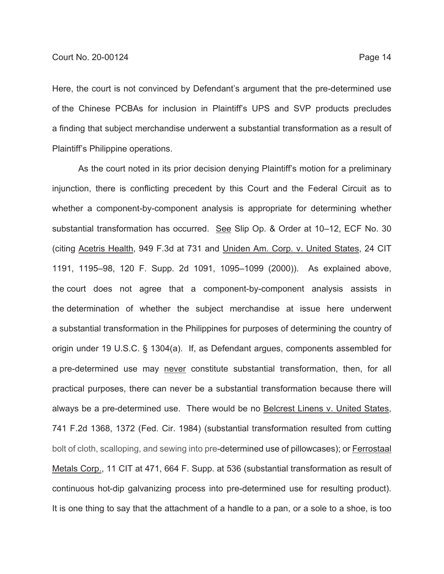Here, the court is not convinced by Defendant's argument that the pre-determined use of the Chinese PCBAs for inclusion in Plaintiff's UPS and SVP products precludes a finding that subject merchandise underwent a substantial transformation as a result of Plaintiff's Philippine operations.

As the court noted in its prior decision denying Plaintiff's motion for a preliminary injunction, there is conflicting precedent by this Court and the Federal Circuit as to whether a component-by-component analysis is appropriate for determining whether substantial transformation has occurred. See Slip Op. & Order at 10–12, ECF No. 30 (citing Acetris Health, 949 F.3d at 731 and Uniden Am. Corp. v. United States, 24 CIT 1191, 1195–98, 120 F. Supp. 2d 1091, 1095–1099 (2000)). As explained above, the court does not agree that a component-by-component analysis assists in the determination of whether the subject merchandise at issue here underwent a substantial transformation in the Philippines for purposes of determining the country of origin under 19 U.S.C. § 1304(a). If, as Defendant argues, components assembled for a pre-determined use may never constitute substantial transformation, then, for all practical purposes, there can never be a substantial transformation because there will always be a pre-determined use. There would be no Belcrest Linens v. United States, 741 F.2d 1368, 1372 (Fed. Cir. 1984) (substantial transformation resulted from cutting bolt of cloth, scalloping, and sewing into pre-determined use of pillowcases); or Ferrostaal Metals Corp., 11 CIT at 471, 664 F. Supp. at 536 (substantial transformation as result of continuous hot-dip galvanizing process into pre-determined use for resulting product). It is one thing to say that the attachment of a handle to a pan, or a sole to a shoe, is too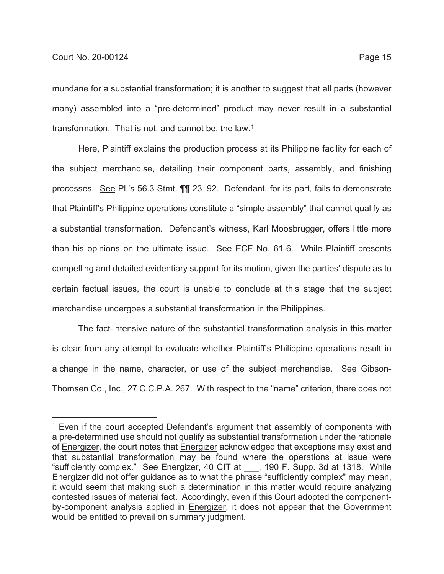mundane for a substantial transformation; it is another to suggest that all parts (however many) assembled into a "pre-determined" product may never result in a substantial transformation. That is not, and cannot be, the law.<sup>1</sup>

Here, Plaintiff explains the production process at its Philippine facility for each of the subject merchandise, detailing their component parts, assembly, and finishing processes. See Pl.'s 56.3 Stmt. ¶¶ 23–92. Defendant, for its part, fails to demonstrate that Plaintiff's Philippine operations constitute a "simple assembly" that cannot qualify as a substantial transformation. Defendant's witness, Karl Moosbrugger, offers little more than his opinions on the ultimate issue. See ECF No. 61-6. While Plaintiff presents compelling and detailed evidentiary support for its motion, given the parties' dispute as to certain factual issues, the court is unable to conclude at this stage that the subject merchandise undergoes a substantial transformation in the Philippines.

The fact-intensive nature of the substantial transformation analysis in this matter is clear from any attempt to evaluate whether Plaintiff's Philippine operations result in a change in the name, character, or use of the subject merchandise. See Gibson-Thomsen Co., Inc., 27 C.C.P.A. 267. With respect to the "name" criterion, there does not

 $1$  Even if the court accepted Defendant's argument that assembly of components with a pre-determined use should not qualify as substantial transformation under the rationale of Energizer, the court notes that Energizer acknowledged that exceptions may exist and that substantial transformation may be found where the operations at issue were "sufficiently complex." See Energizer, 40 CIT at \_\_\_, 190 F. Supp. 3d at 1318. While Energizer did not offer guidance as to what the phrase "sufficiently complex" may mean, it would seem that making such a determination in this matter would require analyzing contested issues of material fact. Accordingly, even if this Court adopted the componentby-component analysis applied in Energizer, it does not appear that the Government would be entitled to prevail on summary judgment.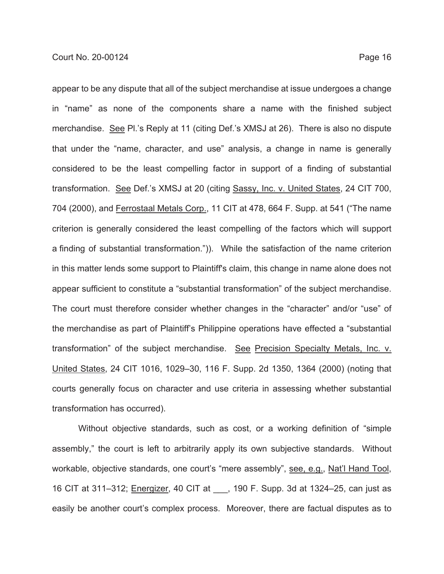appear to be any dispute that all of the subject merchandise at issue undergoes a change in "name" as none of the components share a name with the finished subject merchandise. See Pl.'s Reply at 11 (citing Def.'s XMSJ at 26). There is also no dispute that under the "name, character, and use" analysis, a change in name is generally considered to be the least compelling factor in support of a finding of substantial transformation. See Def.'s XMSJ at 20 (citing Sassy, Inc. v. United States, 24 CIT 700, 704 (2000), and Ferrostaal Metals Corp., 11 CIT at 478, 664 F. Supp. at 541 ("The name criterion is generally considered the least compelling of the factors which will support a finding of substantial transformation.")). While the satisfaction of the name criterion in this matter lends some support to Plaintiff's claim, this change in name alone does not appear sufficient to constitute a "substantial transformation" of the subject merchandise. The court must therefore consider whether changes in the "character" and/or "use" of the merchandise as part of Plaintiff's Philippine operations have effected a "substantial transformation" of the subject merchandise. See Precision Specialty Metals, Inc. v. United States, 24 CIT 1016, 1029–30, 116 F. Supp. 2d 1350, 1364 (2000) (noting that courts generally focus on character and use criteria in assessing whether substantial transformation has occurred).

Without objective standards, such as cost, or a working definition of "simple assembly," the court is left to arbitrarily apply its own subjective standards. Without workable, objective standards, one court's "mere assembly", see, e.g., Nat'l Hand Tool, 16 CIT at 311–312; Energizer, 40 CIT at \_\_\_, 190 F. Supp. 3d at 1324–25, can just as easily be another court's complex process. Moreover, there are factual disputes as to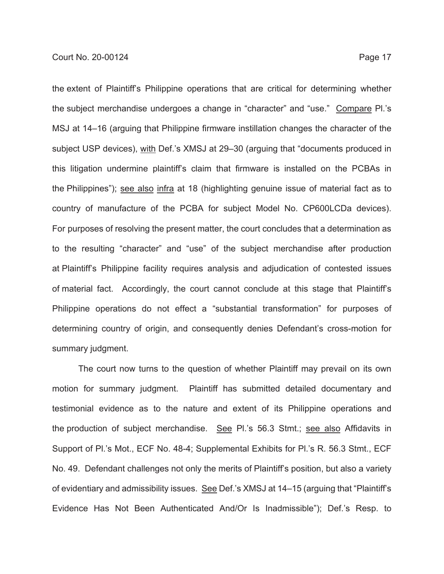the extent of Plaintiff's Philippine operations that are critical for determining whether the subject merchandise undergoes a change in "character" and "use." Compare Pl.'s MSJ at 14–16 (arguing that Philippine firmware instillation changes the character of the subject USP devices), with Def.'s XMSJ at 29–30 (arguing that "documents produced in this litigation undermine plaintiff's claim that firmware is installed on the PCBAs in the Philippines"); see also infra at 18 (highlighting genuine issue of material fact as to country of manufacture of the PCBA for subject Model No. CP600LCDa devices). For purposes of resolving the present matter, the court concludes that a determination as to the resulting "character" and "use" of the subject merchandise after production at Plaintiff's Philippine facility requires analysis and adjudication of contested issues of material fact. Accordingly, the court cannot conclude at this stage that Plaintiff's Philippine operations do not effect a "substantial transformation" for purposes of determining country of origin, and consequently denies Defendant's cross-motion for summary judgment.

The court now turns to the question of whether Plaintiff may prevail on its own motion for summary judgment. Plaintiff has submitted detailed documentary and testimonial evidence as to the nature and extent of its Philippine operations and the production of subject merchandise. See Pl.'s 56.3 Stmt.; see also Affidavits in Support of Pl.'s Mot., ECF No. 48-4; Supplemental Exhibits for Pl.'s R. 56.3 Stmt., ECF No. 49. Defendant challenges not only the merits of Plaintiff's position, but also a variety of evidentiary and admissibility issues. See Def.'s XMSJ at 14–15 (arguing that "Plaintiff's Evidence Has Not Been Authenticated And/Or Is Inadmissible"); Def.'s Resp. to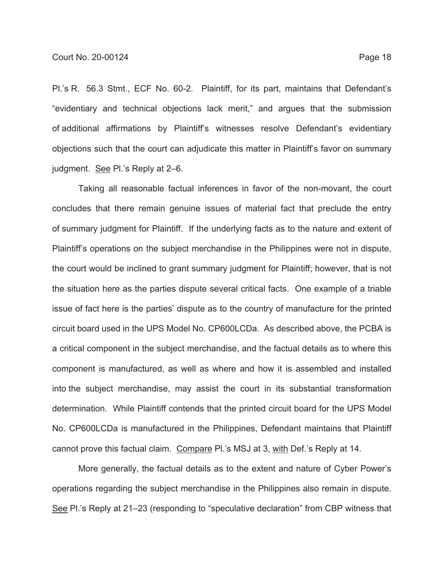Pl.'s R. 56.3 Stmt., ECF No. 60-2. Plaintiff, for its part, maintains that Defendant's "evidentiary and technical objections lack merit," and argues that the submission of additional affirmations by Plaintiff's witnesses resolve Defendant's evidentiary objections such that the court can adjudicate this matter in Plaintiff's favor on summary judgment. See Pl.'s Reply at 2–6.

Taking all reasonable factual inferences in favor of the non-movant, the court concludes that there remain genuine issues of material fact that preclude the entry of summary judgment for Plaintiff. If the underlying facts as to the nature and extent of Plaintiff's operations on the subject merchandise in the Philippines were not in dispute, the court would be inclined to grant summary judgment for Plaintiff; however, that is not the situation here as the parties dispute several critical facts. One example of a triable issue of fact here is the parties' dispute as to the country of manufacture for the printed circuit board used in the UPS Model No. CP600LCDa. As described above, the PCBA is a critical component in the subject merchandise, and the factual details as to where this component is manufactured, as well as where and how it is assembled and installed into the subject merchandise, may assist the court in its substantial transformation determination. While Plaintiff contends that the printed circuit board for the UPS Model No. CP600LCDa is manufactured in the Philippines, Defendant maintains that Plaintiff cannot prove this factual claim. Compare Pl.'s MSJ at 3, with Def.'s Reply at 14.

More generally, the factual details as to the extent and nature of Cyber Power's operations regarding the subject merchandise in the Philippines also remain in dispute. See Pl.'s Reply at 21–23 (responding to "speculative declaration" from CBP witness that